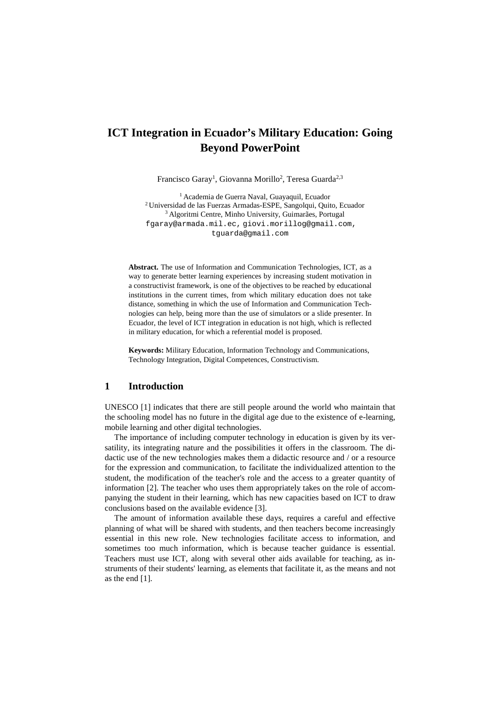# **ICT Integration in Ecuador's Military Education: Going Beyond PowerPoint**

Francisco Garay<sup>1</sup>, Giovanna Morillo<sup>2</sup>, Teresa Guarda<sup>2,3</sup>

<sup>1</sup> Academia de Guerra Naval, Guayaquil, Ecuador <sup>2</sup> Universidad de las Fuerzas Armadas-ESPE, Sangolqui, Quito, Ecuador <sup>3</sup>Algoritmi Centre, Minho University, Guimarães, Portugal fgaray@armada.mil.ec, giovi.morillog@gmail.com, tguarda@gmail.com

**Abstract.** The use of Information and Communication Technologies, ICT, as a way to generate better learning experiences by increasing student motivation in a constructivist framework, is one of the objectives to be reached by educational institutions in the current times, from which military education does not take distance, something in which the use of Information and Communication Technologies can help, being more than the use of simulators or a slide presenter. In Ecuador, the level of ICT integration in education is not high, which is reflected in military education, for which a referential model is proposed.

**Keywords:** Military Education, Information Technology and Communications, Technology Integration, Digital Competences, Constructivism.

#### **1 Introduction**

UNESCO [1] indicates that there are still people around the world who maintain that the schooling model has no future in the digital age due to the existence of e-learning, mobile learning and other digital technologies.

The importance of including computer technology in education is given by its versatility, its integrating nature and the possibilities it offers in the classroom. The didactic use of the new technologies makes them a didactic resource and / or a resource for the expression and communication, to facilitate the individualized attention to the student, the modification of the teacher's role and the access to a greater quantity of information [2]. The teacher who uses them appropriately takes on the role of accompanying the student in their learning, which has new capacities based on ICT to draw conclusions based on the available evidence [3].

The amount of information available these days, requires a careful and effective planning of what will be shared with students, and then teachers become increasingly essential in this new role. New technologies facilitate access to information, and sometimes too much information, which is because teacher guidance is essential. Teachers must use ICT, along with several other aids available for teaching, as instruments of their students' learning, as elements that facilitate it, as the means and not as the end [1].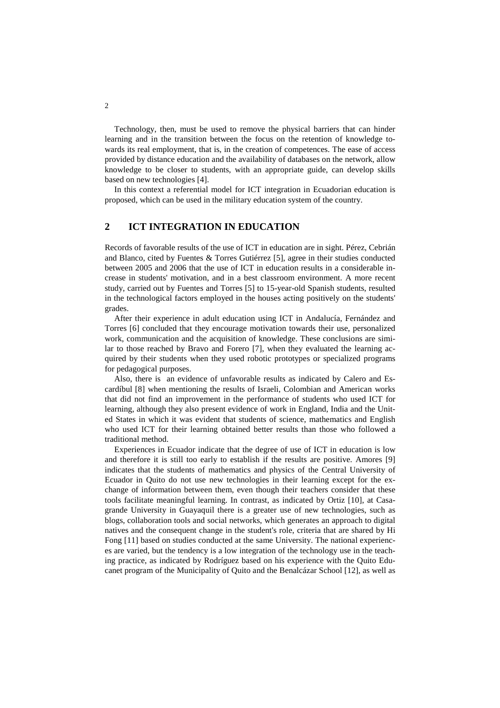Technology, then, must be used to remove the physical barriers that can hinder learning and in the transition between the focus on the retention of knowledge towards its real employment, that is, in the creation of competences. The ease of access provided by distance education and the availability of databases on the network, allow knowledge to be closer to students, with an appropriate guide, can develop skills based on new technologies [4].

In this context a referential model for ICT integration in Ecuadorian education is proposed, which can be used in the military education system of the country.

## **2 ICT INTEGRATION IN EDUCATION**

Records of favorable results of the use of ICT in education are in sight. Pérez, Cebrián and Blanco, cited by Fuentes & Torres Gutiérrez [5], agree in their studies conducted between 2005 and 2006 that the use of ICT in education results in a considerable increase in students' motivation, and in a best classroom environment. A more recent study, carried out by Fuentes and Torres [5] to 15-year-old Spanish students, resulted in the technological factors employed in the houses acting positively on the students' grades.

After their experience in adult education using ICT in Andalucía, Fernández and Torres [6] concluded that they encourage motivation towards their use, personalized work, communication and the acquisition of knowledge. These conclusions are similar to those reached by Bravo and Forero [7], when they evaluated the learning acquired by their students when they used robotic prototypes or specialized programs for pedagogical purposes.

Also, there is an evidence of unfavorable results as indicated by Calero and Escardíbul [8] when mentioning the results of Israeli, Colombian and American works that did not find an improvement in the performance of students who used ICT for learning, although they also present evidence of work in England, India and the United States in which it was evident that students of science, mathematics and English who used ICT for their learning obtained better results than those who followed a traditional method.

Experiences in Ecuador indicate that the degree of use of ICT in education is low and therefore it is still too early to establish if the results are positive. Amores [9] indicates that the students of mathematics and physics of the Central University of Ecuador in Quito do not use new technologies in their learning except for the exchange of information between them, even though their teachers consider that these tools facilitate meaningful learning. In contrast, as indicated by Ortiz [10], at Casagrande University in Guayaquil there is a greater use of new technologies, such as blogs, collaboration tools and social networks, which generates an approach to digital natives and the consequent change in the student's role, criteria that are shared by Hi Fong [11] based on studies conducted at the same University. The national experiences are varied, but the tendency is a low integration of the technology use in the teaching practice, as indicated by Rodríguez based on his experience with the Quito Educanet program of the Municipality of Quito and the Benalcázar School [12], as well as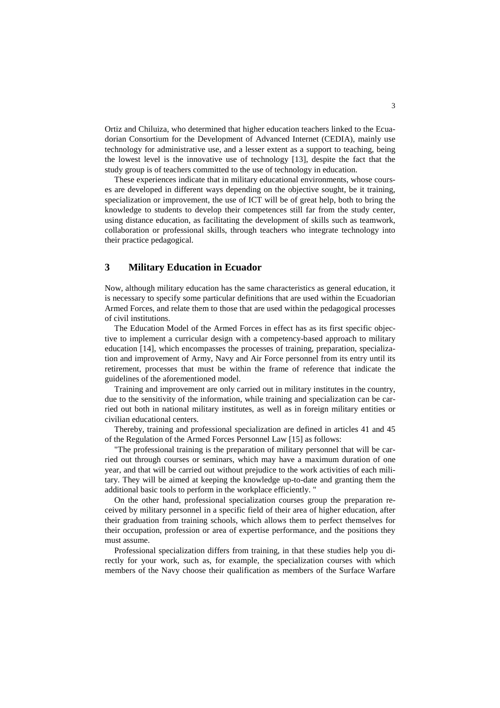Ortiz and Chiluiza, who determined that higher education teachers linked to the Ecuadorian Consortium for the Development of Advanced Internet (CEDIA), mainly use technology for administrative use, and a lesser extent as a support to teaching, being the lowest level is the innovative use of technology [13], despite the fact that the study group is of teachers committed to the use of technology in education.

These experiences indicate that in military educational environments, whose courses are developed in different ways depending on the objective sought, be it training, specialization or improvement, the use of ICT will be of great help, both to bring the knowledge to students to develop their competences still far from the study center, using distance education, as facilitating the development of skills such as teamwork, collaboration or professional skills, through teachers who integrate technology into their practice pedagogical.

### **3 Military Education in Ecuador**

Now, although military education has the same characteristics as general education, it is necessary to specify some particular definitions that are used within the Ecuadorian Armed Forces, and relate them to those that are used within the pedagogical processes of civil institutions.

The Education Model of the Armed Forces in effect has as its first specific objective to implement a curricular design with a competency-based approach to military education [14], which encompasses the processes of training, preparation, specialization and improvement of Army, Navy and Air Force personnel from its entry until its retirement, processes that must be within the frame of reference that indicate the guidelines of the aforementioned model.

Training and improvement are only carried out in military institutes in the country, due to the sensitivity of the information, while training and specialization can be carried out both in national military institutes, as well as in foreign military entities or civilian educational centers.

Thereby, training and professional specialization are defined in articles 41 and 45 of the Regulation of the Armed Forces Personnel Law [15] as follows:

"The professional training is the preparation of military personnel that will be carried out through courses or seminars, which may have a maximum duration of one year, and that will be carried out without prejudice to the work activities of each military. They will be aimed at keeping the knowledge up-to-date and granting them the additional basic tools to perform in the workplace efficiently. "

On the other hand, professional specialization courses group the preparation received by military personnel in a specific field of their area of higher education, after their graduation from training schools, which allows them to perfect themselves for their occupation, profession or area of expertise performance, and the positions they must assume.

Professional specialization differs from training, in that these studies help you directly for your work, such as, for example, the specialization courses with which members of the Navy choose their qualification as members of the Surface Warfare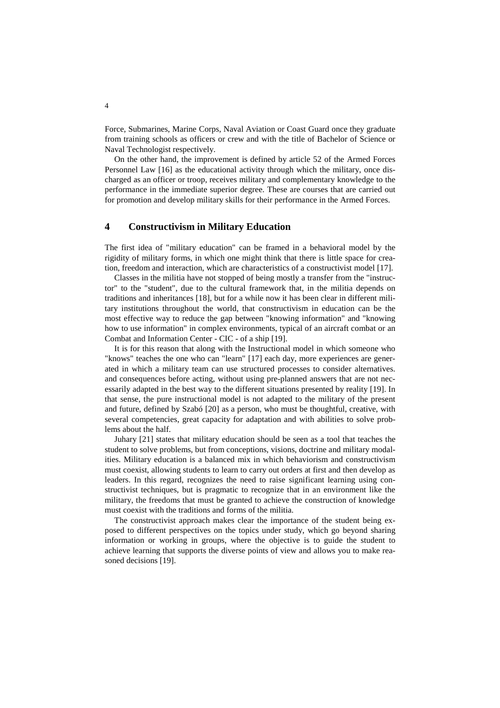Force, Submarines, Marine Corps, Naval Aviation or Coast Guard once they graduate from training schools as officers or crew and with the title of Bachelor of Science or Naval Technologist respectively.

On the other hand, the improvement is defined by article 52 of the Armed Forces Personnel Law [16] as the educational activity through which the military, once discharged as an officer or troop, receives military and complementary knowledge to the performance in the immediate superior degree. These are courses that are carried out for promotion and develop military skills for their performance in the Armed Forces.

### **4 Constructivism in Military Education**

The first idea of "military education" can be framed in a behavioral model by the rigidity of military forms, in which one might think that there is little space for creation, freedom and interaction, which are characteristics of a constructivist model [17].

Classes in the militia have not stopped of being mostly a transfer from the "instructor" to the "student", due to the cultural framework that, in the militia depends on traditions and inheritances [18], but for a while now it has been clear in different military institutions throughout the world, that constructivism in education can be the most effective way to reduce the gap between "knowing information" and "knowing how to use information" in complex environments, typical of an aircraft combat or an Combat and Information Center - CIC - of a ship [19].

It is for this reason that along with the Instructional model in which someone who "knows" teaches the one who can "learn" [17] each day, more experiences are generated in which a military team can use structured processes to consider alternatives. and consequences before acting, without using pre-planned answers that are not necessarily adapted in the best way to the different situations presented by reality [19]. In that sense, the pure instructional model is not adapted to the military of the present and future, defined by Szabó [20] as a person, who must be thoughtful, creative, with several competencies, great capacity for adaptation and with abilities to solve problems about the half.

Juhary [21] states that military education should be seen as a tool that teaches the student to solve problems, but from conceptions, visions, doctrine and military modalities. Military education is a balanced mix in which behaviorism and constructivism must coexist, allowing students to learn to carry out orders at first and then develop as leaders. In this regard, recognizes the need to raise significant learning using constructivist techniques, but is pragmatic to recognize that in an environment like the military, the freedoms that must be granted to achieve the construction of knowledge must coexist with the traditions and forms of the militia.

The constructivist approach makes clear the importance of the student being exposed to different perspectives on the topics under study, which go beyond sharing information or working in groups, where the objective is to guide the student to achieve learning that supports the diverse points of view and allows you to make reasoned decisions [19].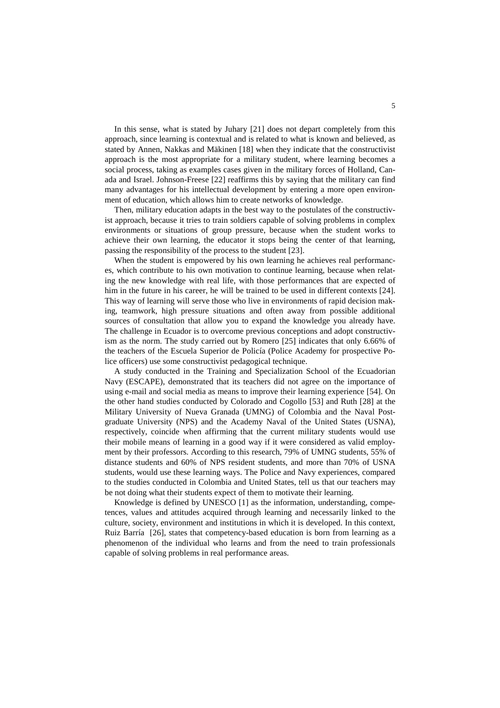In this sense, what is stated by Juhary [21] does not depart completely from this approach, since learning is contextual and is related to what is known and believed, as stated by Annen, Nakkas and Mäkinen [18] when they indicate that the constructivist approach is the most appropriate for a military student, where learning becomes a social process, taking as examples cases given in the military forces of Holland, Canada and Israel. Johnson-Freese [22] reaffirms this by saying that the military can find many advantages for his intellectual development by entering a more open environment of education, which allows him to create networks of knowledge.

Then, military education adapts in the best way to the postulates of the constructivist approach, because it tries to train soldiers capable of solving problems in complex environments or situations of group pressure, because when the student works to achieve their own learning, the educator it stops being the center of that learning, passing the responsibility of the process to the student [23].

When the student is empowered by his own learning he achieves real performances, which contribute to his own motivation to continue learning, because when relating the new knowledge with real life, with those performances that are expected of him in the future in his career, he will be trained to be used in different contexts [24]. This way of learning will serve those who live in environments of rapid decision making, teamwork, high pressure situations and often away from possible additional sources of consultation that allow you to expand the knowledge you already have. The challenge in Ecuador is to overcome previous conceptions and adopt constructivism as the norm. The study carried out by Romero [25] indicates that only 6.66% of the teachers of the Escuela Superior de Policía (Police Academy for prospective Police officers) use some constructivist pedagogical technique.

A study conducted in the Training and Specialization School of the Ecuadorian Navy (ESCAPE), demonstrated that its teachers did not agree on the importance of using e-mail and social media as means to improve their learning experience [54]. On the other hand studies conducted by Colorado and Cogollo [53] and Ruth [28] at the Military University of Nueva Granada (UMNG) of Colombia and the Naval Postgraduate University (NPS) and the Academy Naval of the United States (USNA), respectively, coincide when affirming that the current military students would use their mobile means of learning in a good way if it were considered as valid employment by their professors. According to this research, 79% of UMNG students, 55% of distance students and 60% of NPS resident students, and more than 70% of USNA students, would use these learning ways. The Police and Navy experiences, compared to the studies conducted in Colombia and United States, tell us that our teachers may be not doing what their students expect of them to motivate their learning.

Knowledge is defined by UNESCO [1] as the information, understanding, competences, values and attitudes acquired through learning and necessarily linked to the culture, society, environment and institutions in which it is developed. In this context, Ruiz Barría [26], states that competency-based education is born from learning as a phenomenon of the individual who learns and from the need to train professionals capable of solving problems in real performance areas.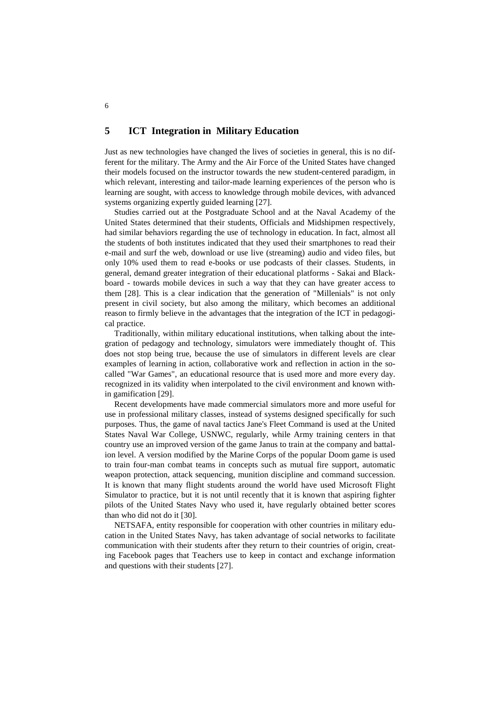### **5 ICT Integration in Military Education**

Just as new technologies have changed the lives of societies in general, this is no different for the military. The Army and the Air Force of the United States have changed their models focused on the instructor towards the new student-centered paradigm, in which relevant, interesting and tailor-made learning experiences of the person who is learning are sought, with access to knowledge through mobile devices, with advanced systems organizing expertly guided learning [27].

Studies carried out at the Postgraduate School and at the Naval Academy of the United States determined that their students, Officials and Midshipmen respectively, had similar behaviors regarding the use of technology in education. In fact, almost all the students of both institutes indicated that they used their smartphones to read their e-mail and surf the web, download or use live (streaming) audio and video files, but only 10% used them to read e-books or use podcasts of their classes. Students, in general, demand greater integration of their educational platforms - Sakai and Blackboard - towards mobile devices in such a way that they can have greater access to them [28]. This is a clear indication that the generation of "Millenials" is not only present in civil society, but also among the military, which becomes an additional reason to firmly believe in the advantages that the integration of the ICT in pedagogical practice.

Traditionally, within military educational institutions, when talking about the integration of pedagogy and technology, simulators were immediately thought of. This does not stop being true, because the use of simulators in different levels are clear examples of learning in action, collaborative work and reflection in action in the socalled "War Games", an educational resource that is used more and more every day. recognized in its validity when interpolated to the civil environment and known within gamification [29].

Recent developments have made commercial simulators more and more useful for use in professional military classes, instead of systems designed specifically for such purposes. Thus, the game of naval tactics Jane's Fleet Command is used at the United States Naval War College, USNWC, regularly, while Army training centers in that country use an improved version of the game Janus to train at the company and battalion level. A version modified by the Marine Corps of the popular Doom game is used to train four-man combat teams in concepts such as mutual fire support, automatic weapon protection, attack sequencing, munition discipline and command succession. It is known that many flight students around the world have used Microsoft Flight Simulator to practice, but it is not until recently that it is known that aspiring fighter pilots of the United States Navy who used it, have regularly obtained better scores than who did not do it [30].

NETSAFA, entity responsible for cooperation with other countries in military education in the United States Navy, has taken advantage of social networks to facilitate communication with their students after they return to their countries of origin, creating Facebook pages that Teachers use to keep in contact and exchange information and questions with their students [27].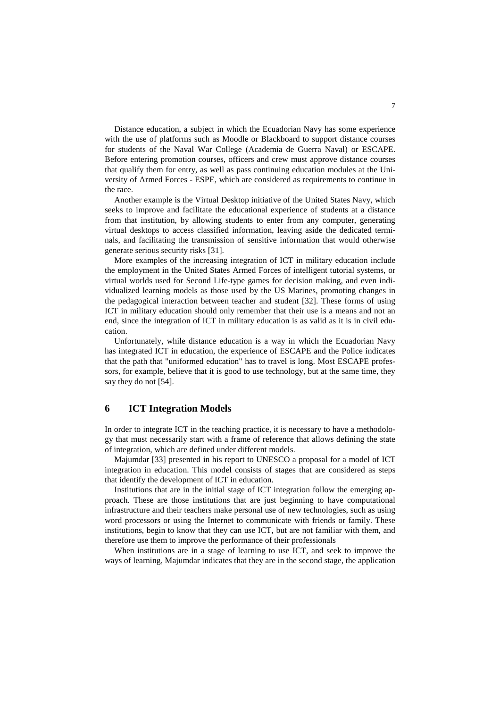Distance education, a subject in which the Ecuadorian Navy has some experience with the use of platforms such as Moodle or Blackboard to support distance courses for students of the Naval War College (Academia de Guerra Naval) or ESCAPE. Before entering promotion courses, officers and crew must approve distance courses that qualify them for entry, as well as pass continuing education modules at the University of Armed Forces - ESPE, which are considered as requirements to continue in the race.

Another example is the Virtual Desktop initiative of the United States Navy, which seeks to improve and facilitate the educational experience of students at a distance from that institution, by allowing students to enter from any computer, generating virtual desktops to access classified information, leaving aside the dedicated terminals, and facilitating the transmission of sensitive information that would otherwise generate serious security risks [31].

More examples of the increasing integration of ICT in military education include the employment in the United States Armed Forces of intelligent tutorial systems, or virtual worlds used for Second Life-type games for decision making, and even individualized learning models as those used by the US Marines, promoting changes in the pedagogical interaction between teacher and student [32]. These forms of using ICT in military education should only remember that their use is a means and not an end, since the integration of ICT in military education is as valid as it is in civil education.

Unfortunately, while distance education is a way in which the Ecuadorian Navy has integrated ICT in education, the experience of ESCAPE and the Police indicates that the path that "uniformed education" has to travel is long. Most ESCAPE professors, for example, believe that it is good to use technology, but at the same time, they say they do not [54].

#### **6 ICT Integration Models**

In order to integrate ICT in the teaching practice, it is necessary to have a methodology that must necessarily start with a frame of reference that allows defining the state of integration, which are defined under different models.

Majumdar [33] presented in his report to UNESCO a proposal for a model of ICT integration in education. This model consists of stages that are considered as steps that identify the development of ICT in education.

Institutions that are in the initial stage of ICT integration follow the emerging approach. These are those institutions that are just beginning to have computational infrastructure and their teachers make personal use of new technologies, such as using word processors or using the Internet to communicate with friends or family. These institutions, begin to know that they can use ICT, but are not familiar with them, and therefore use them to improve the performance of their professionals

When institutions are in a stage of learning to use ICT, and seek to improve the ways of learning, Majumdar indicates that they are in the second stage, the application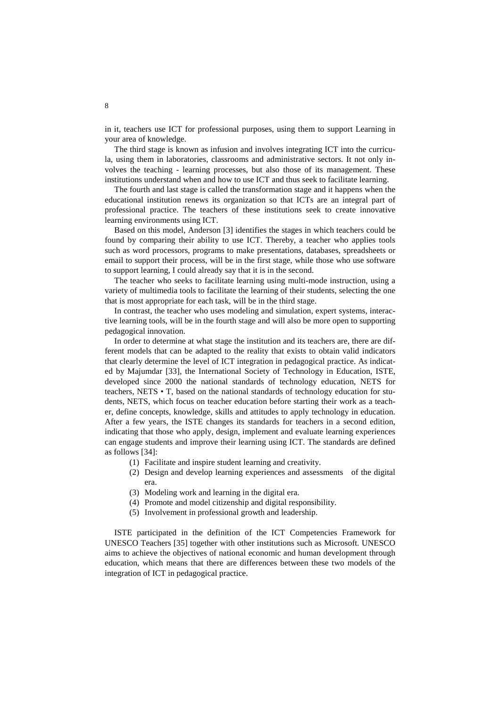in it, teachers use ICT for professional purposes, using them to support Learning in your area of knowledge.

The third stage is known as infusion and involves integrating ICT into the curricula, using them in laboratories, classrooms and administrative sectors. It not only involves the teaching - learning processes, but also those of its management. These institutions understand when and how to use ICT and thus seek to facilitate learning.

The fourth and last stage is called the transformation stage and it happens when the educational institution renews its organization so that ICTs are an integral part of professional practice. The teachers of these institutions seek to create innovative learning environments using ICT.

Based on this model, Anderson [3] identifies the stages in which teachers could be found by comparing their ability to use ICT. Thereby, a teacher who applies tools such as word processors, programs to make presentations, databases, spreadsheets or email to support their process, will be in the first stage, while those who use software to support learning, I could already say that it is in the second.

The teacher who seeks to facilitate learning using multi-mode instruction, using a variety of multimedia tools to facilitate the learning of their students, selecting the one that is most appropriate for each task, will be in the third stage.

In contrast, the teacher who uses modeling and simulation, expert systems, interactive learning tools, will be in the fourth stage and will also be more open to supporting pedagogical innovation.

In order to determine at what stage the institution and its teachers are, there are different models that can be adapted to the reality that exists to obtain valid indicators that clearly determine the level of ICT integration in pedagogical practice. As indicated by Majumdar [33], the International Society of Technology in Education, ISTE, developed since 2000 the national standards of technology education, NETS for teachers, NETS • T, based on the national standards of technology education for students, NETS, which focus on teacher education before starting their work as a teacher, define concepts, knowledge, skills and attitudes to apply technology in education. After a few years, the ISTE changes its standards for teachers in a second edition, indicating that those who apply, design, implement and evaluate learning experiences can engage students and improve their learning using ICT. The standards are defined as follows [34]:

- (1) Facilitate and inspire student learning and creativity.
- (2) Design and develop learning experiences and assessments of the digital era.
- (3) Modeling work and learning in the digital era.
- (4) Promote and model citizenship and digital responsibility.
- (5) Involvement in professional growth and leadership.

ISTE participated in the definition of the ICT Competencies Framework for UNESCO Teachers [35] together with other institutions such as Microsoft. UNESCO aims to achieve the objectives of national economic and human development through education, which means that there are differences between these two models of the integration of ICT in pedagogical practice.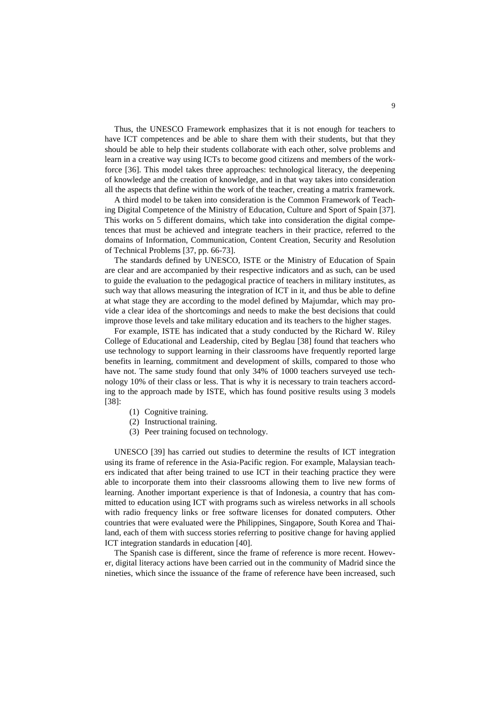Thus, the UNESCO Framework emphasizes that it is not enough for teachers to have ICT competences and be able to share them with their students, but that they should be able to help their students collaborate with each other, solve problems and learn in a creative way using ICTs to become good citizens and members of the workforce [36]. This model takes three approaches: technological literacy, the deepening of knowledge and the creation of knowledge, and in that way takes into consideration all the aspects that define within the work of the teacher, creating a matrix framework.

A third model to be taken into consideration is the Common Framework of Teaching Digital Competence of the Ministry of Education, Culture and Sport of Spain [37]. This works on 5 different domains, which take into consideration the digital competences that must be achieved and integrate teachers in their practice, referred to the domains of Information, Communication, Content Creation, Security and Resolution of Technical Problems [37, pp. 66-73].

The standards defined by UNESCO, ISTE or the Ministry of Education of Spain are clear and are accompanied by their respective indicators and as such, can be used to guide the evaluation to the pedagogical practice of teachers in military institutes, as such way that allows measuring the integration of ICT in it, and thus be able to define at what stage they are according to the model defined by Majumdar, which may provide a clear idea of the shortcomings and needs to make the best decisions that could improve those levels and take military education and its teachers to the higher stages.

For example, ISTE has indicated that a study conducted by the Richard W. Riley College of Educational and Leadership, cited by Beglau [38] found that teachers who use technology to support learning in their classrooms have frequently reported large benefits in learning, commitment and development of skills, compared to those who have not. The same study found that only 34% of 1000 teachers surveyed use technology 10% of their class or less. That is why it is necessary to train teachers according to the approach made by ISTE, which has found positive results using 3 models [38]:

- (1) Cognitive training.
- (2) Instructional training.
- (3) Peer training focused on technology.

UNESCO [39] has carried out studies to determine the results of ICT integration using its frame of reference in the Asia-Pacific region. For example, Malaysian teachers indicated that after being trained to use ICT in their teaching practice they were able to incorporate them into their classrooms allowing them to live new forms of learning. Another important experience is that of Indonesia, a country that has committed to education using ICT with programs such as wireless networks in all schools with radio frequency links or free software licenses for donated computers. Other countries that were evaluated were the Philippines, Singapore, South Korea and Thailand, each of them with success stories referring to positive change for having applied ICT integration standards in education [40].

The Spanish case is different, since the frame of reference is more recent. However, digital literacy actions have been carried out in the community of Madrid since the nineties, which since the issuance of the frame of reference have been increased, such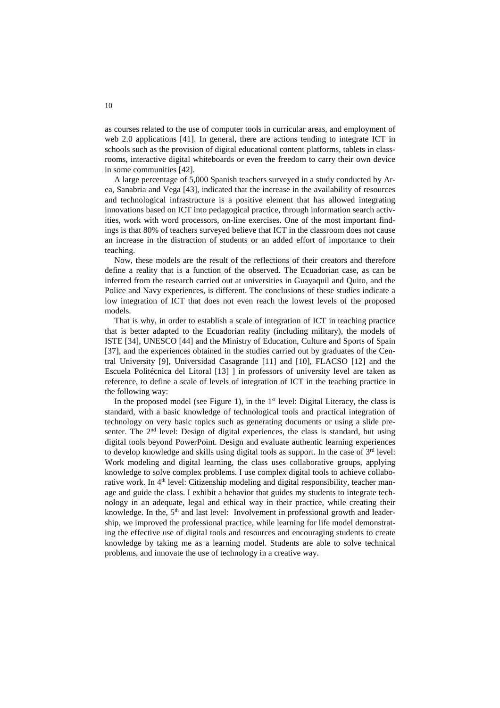as courses related to the use of computer tools in curricular areas, and employment of web 2.0 applications [41]. In general, there are actions tending to integrate ICT in schools such as the provision of digital educational content platforms, tablets in classrooms, interactive digital whiteboards or even the freedom to carry their own device in some communities [42].

A large percentage of 5,000 Spanish teachers surveyed in a study conducted by Area, Sanabria and Vega [43], indicated that the increase in the availability of resources and technological infrastructure is a positive element that has allowed integrating innovations based on ICT into pedagogical practice, through information search activities, work with word processors, on-line exercises. One of the most important findings is that 80% of teachers surveyed believe that ICT in the classroom does not cause an increase in the distraction of students or an added effort of importance to their teaching.

Now, these models are the result of the reflections of their creators and therefore define a reality that is a function of the observed. The Ecuadorian case, as can be inferred from the research carried out at universities in Guayaquil and Quito, and the Police and Navy experiences, is different. The conclusions of these studies indicate a low integration of ICT that does not even reach the lowest levels of the proposed models.

That is why, in order to establish a scale of integration of ICT in teaching practice that is better adapted to the Ecuadorian reality (including military), the models of ISTE [34], UNESCO [44] and the Ministry of Education, Culture and Sports of Spain [37], and the experiences obtained in the studies carried out by graduates of the Central University [9], Universidad Casagrande [11] and [10], FLACSO [12] and the Escuela Politécnica del Litoral [13] ] in professors of university level are taken as reference, to define a scale of levels of integration of ICT in the teaching practice in the following way:

In the proposed model (see Figure 1), in the  $1<sup>st</sup>$  level: Digital Literacy, the class is standard, with a basic knowledge of technological tools and practical integration of technology on very basic topics such as generating documents or using a slide presenter. The  $2<sup>nd</sup>$  level: Design of digital experiences, the class is standard, but using digital tools beyond PowerPoint. Design and evaluate authentic learning experiences to develop knowledge and skills using digital tools as support. In the case of  $3<sup>rd</sup>$  level: Work modeling and digital learning, the class uses collaborative groups, applying knowledge to solve complex problems. I use complex digital tools to achieve collaborative work. In 4<sup>th</sup> level: Citizenship modeling and digital responsibility, teacher manage and guide the class. I exhibit a behavior that guides my students to integrate technology in an adequate, legal and ethical way in their practice, while creating their knowledge. In the, 5<sup>th</sup> and last level: Involvement in professional growth and leadership, we improved the professional practice, while learning for life model demonstrating the effective use of digital tools and resources and encouraging students to create knowledge by taking me as a learning model. Students are able to solve technical problems, and innovate the use of technology in a creative way.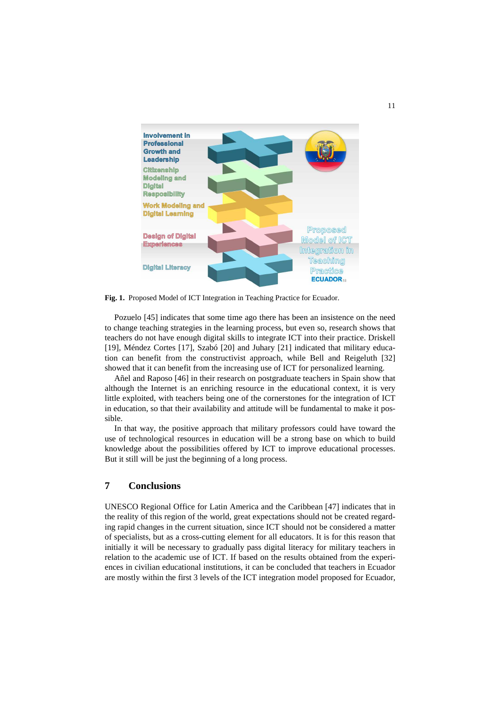

**Fig. 1.** Proposed Model of ICT Integration in Teaching Practice for Ecuador.

Pozuelo [45] indicates that some time ago there has been an insistence on the need to change teaching strategies in the learning process, but even so, research shows that teachers do not have enough digital skills to integrate ICT into their practice. Driskell [19], Méndez Cortes [17], Szabó [20] and Juhary [21] indicated that military education can benefit from the constructivist approach, while Bell and Reigeluth [32] showed that it can benefit from the increasing use of ICT for personalized learning.

Añel and Raposo [46] in their research on postgraduate teachers in Spain show that although the Internet is an enriching resource in the educational context, it is very little exploited, with teachers being one of the cornerstones for the integration of ICT in education, so that their availability and attitude will be fundamental to make it possible.

In that way, the positive approach that military professors could have toward the use of technological resources in education will be a strong base on which to build knowledge about the possibilities offered by ICT to improve educational processes. But it still will be just the beginning of a long process.

## **7 Conclusions**

UNESCO Regional Office for Latin America and the Caribbean [47] indicates that in the reality of this region of the world, great expectations should not be created regarding rapid changes in the current situation, since ICT should not be considered a matter of specialists, but as a cross-cutting element for all educators. It is for this reason that initially it will be necessary to gradually pass digital literacy for military teachers in relation to the academic use of ICT. If based on the results obtained from the experiences in civilian educational institutions, it can be concluded that teachers in Ecuador are mostly within the first 3 levels of the ICT integration model proposed for Ecuador,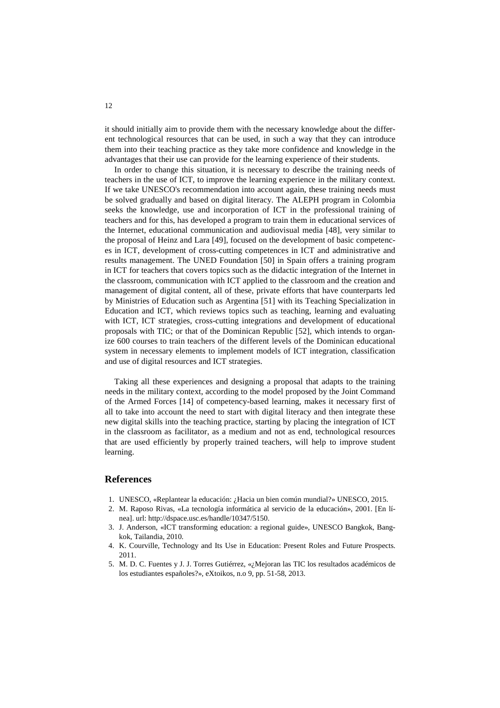it should initially aim to provide them with the necessary knowledge about the different technological resources that can be used, in such a way that they can introduce them into their teaching practice as they take more confidence and knowledge in the advantages that their use can provide for the learning experience of their students.

In order to change this situation, it is necessary to describe the training needs of teachers in the use of ICT, to improve the learning experience in the military context. If we take UNESCO's recommendation into account again, these training needs must be solved gradually and based on digital literacy. The ALEPH program in Colombia seeks the knowledge, use and incorporation of ICT in the professional training of teachers and for this, has developed a program to train them in educational services of the Internet, educational communication and audiovisual media [48], very similar to the proposal of Heinz and Lara [49], focused on the development of basic competences in ICT, development of cross-cutting competences in ICT and administrative and results management. The UNED Foundation [50] in Spain offers a training program in ICT for teachers that covers topics such as the didactic integration of the Internet in the classroom, communication with ICT applied to the classroom and the creation and management of digital content, all of these, private efforts that have counterparts led by Ministries of Education such as Argentina [51] with its Teaching Specialization in Education and ICT, which reviews topics such as teaching, learning and evaluating with ICT, ICT strategies, cross-cutting integrations and development of educational proposals with TIC; or that of the Dominican Republic [52], which intends to organize 600 courses to train teachers of the different levels of the Dominican educational system in necessary elements to implement models of ICT integration, classification and use of digital resources and ICT strategies.

Taking all these experiences and designing a proposal that adapts to the training needs in the military context, according to the model proposed by the Joint Command of the Armed Forces [14] of competency-based learning, makes it necessary first of all to take into account the need to start with digital literacy and then integrate these new digital skills into the teaching practice, starting by placing the integration of ICT in the classroom as facilitator, as a medium and not as end, technological resources that are used efficiently by properly trained teachers, will help to improve student learning.

#### **References**

- 1. UNESCO, «Replantear la educación: ¿Hacia un bien común mundial?» UNESCO, 2015.
- 2. M. Raposo Rivas, «La tecnología informática al servicio de la educación», 2001. [En línea]. url: http://dspace.usc.es/handle/10347/5150.
- 3. J. Anderson, «ICT transforming education: a regional guide», UNESCO Bangkok, Bangkok, Tailandia, 2010.
- 4. K. Courville, Technology and Its Use in Education: Present Roles and Future Prospects. 2011.
- 5. M. D. C. Fuentes y J. J. Torres Gutiérrez, «¿Mejoran las TIC los resultados académicos de los estudiantes españoles?», eXtoikos, n.o 9, pp. 51-58, 2013.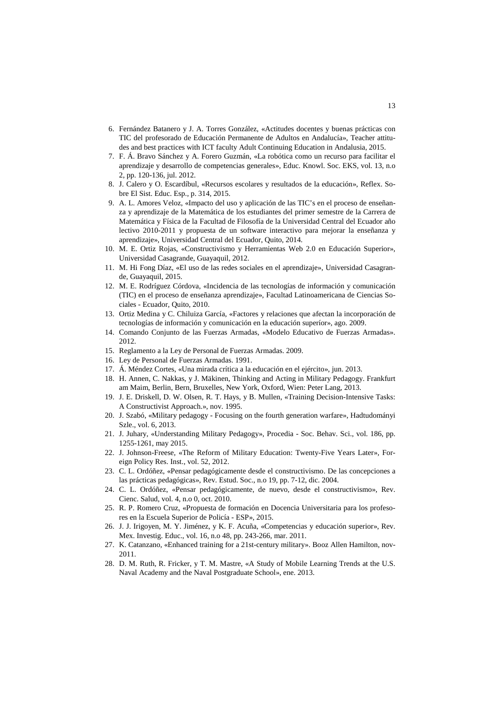- 6. Fernández Batanero y J. A. Torres González, «Actitudes docentes y buenas prácticas con TIC del profesorado de Educación Permanente de Adultos en Andalucía», Teacher attitudes and best practices with ICT faculty Adult Continuing Education in Andalusia, 2015.
- 7. F. Á. Bravo Sánchez y A. Forero Guzmán, «La robótica como un recurso para facilitar el aprendizaje y desarrollo de competencias generales», Educ. Knowl. Soc. EKS, vol. 13, n.o 2, pp. 120-136, jul. 2012.
- 8. J. Calero y O. Escardíbul, «Recursos escolares y resultados de la educación», Reflex. Sobre El Sist. Educ. Esp., p. 314, 2015.
- 9. A. L. Amores Veloz, «Impacto del uso y aplicación de las TIC's en el proceso de enseñanza y aprendizaje de la Matemática de los estudiantes del primer semestre de la Carrera de Matemática y Física de la Facultad de Filosofía de la Universidad Central del Ecuador año lectivo 2010-2011 y propuesta de un software interactivo para mejorar la enseñanza y aprendizaje», Universidad Central del Ecuador, Quito, 2014.
- 10. M. E. Ortiz Rojas, «Constructivismo y Herramientas Web 2.0 en Educación Superior», Universidad Casagrande, Guayaquil, 2012.
- 11. M. Hi Fong Díaz, «El uso de las redes sociales en el aprendizaje», Universidad Casagrande, Guayaquil, 2015.
- 12. M. E. Rodríguez Córdova, «Incidencia de las tecnologías de información y comunicación (TIC) en el proceso de enseñanza aprendizaje», Facultad Latinoamericana de Ciencias Sociales - Ecuador, Quito, 2010.
- 13. Ortiz Medina y C. Chiluiza García, «Factores y relaciones que afectan la incorporación de tecnologías de información y comunicación en la educación superíor», ago. 2009.
- 14. Comando Conjunto de las Fuerzas Armadas, «Modelo Educativo de Fuerzas Armadas». 2012.
- 15. Reglamento a la Ley de Personal de Fuerzas Armadas. 2009.
- 16. Ley de Personal de Fuerzas Armadas. 1991.
- 17. Á. Méndez Cortes, «Una mirada crítica a la educación en el ejército», jun. 2013.
- 18. H. Annen, C. Nakkas, y J. Mäkinen, Thinking and Acting in Military Pedagogy. Frankfurt am Maim, Berlin, Bern, Bruxelles, New York, Oxford, Wien: Peter Lang, 2013.
- 19. J. E. Driskell, D. W. Olsen, R. T. Hays, y B. Mullen, «Training Decision-Intensive Tasks: A Constructivist Approach.», nov. 1995.
- 20. J. Szabó, «Military pedagogy Focusing on the fourth generation warfare», Hadtudományi Szle., vol. 6, 2013.
- 21. J. Juhary, «Understanding Military Pedagogy», Procedia Soc. Behav. Sci., vol. 186, pp. 1255-1261, may 2015.
- 22. J. Johnson-Freese, «The Reform of Military Education: Twenty-Five Years Later», Foreign Policy Res. Inst., vol. 52, 2012.
- 23. C. L. Ordóñez, «Pensar pedagógicamente desde el constructivismo. De las concepciones a las prácticas pedagógicas», Rev. Estud. Soc., n.o 19, pp. 7-12, dic. 2004.
- 24. C. L. Ordóñez, «Pensar pedagógicamente, de nuevo, desde el constructivismo», Rev. Cienc. Salud, vol. 4, n.o 0, oct. 2010.
- 25. R. P. Romero Cruz, «Propuesta de formación en Docencia Universitaria para los profesores en la Escuela Superior de Policía - ESP», 2015.
- 26. J. J. Irigoyen, M. Y. Jiménez, y K. F. Acuña, «Competencias y educación superior», Rev. Mex. Investig. Educ., vol. 16, n.o 48, pp. 243-266, mar. 2011.
- 27. K. Catanzano, «Enhanced training for a 21st-century military». Booz Allen Hamilton, nov-2011.
- 28. D. M. Ruth, R. Fricker, y T. M. Mastre, «A Study of Mobile Learning Trends at the U.S. Naval Academy and the Naval Postgraduate School», ene. 2013.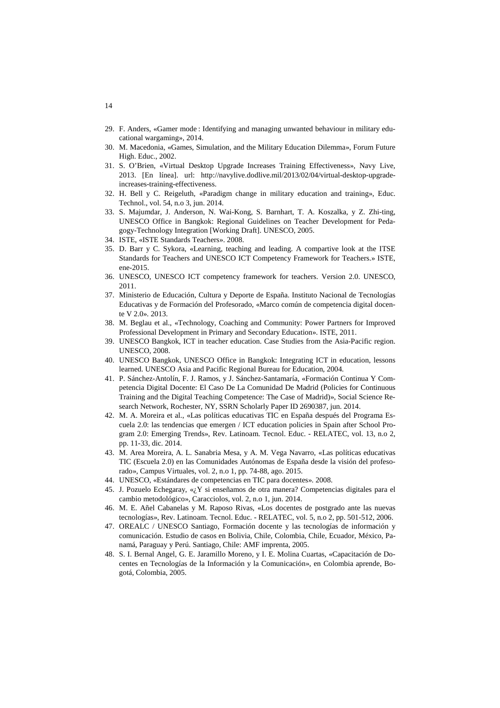- 29. F. Anders, «Gamer mode : Identifying and managing unwanted behaviour in military educational wargaming», 2014.
- 30. M. Macedonia, «Games, Simulation, and the Military Education Dilemma», Forum Future High. Educ., 2002.
- 31. S. O'Brien, «Virtual Desktop Upgrade Increases Training Effectiveness», Navy Live, 2013. [En línea]. url: http://navylive.dodlive.mil/2013/02/04/virtual-desktop-upgradeincreases-training-effectiveness.
- 32. H. Bell y C. Reigeluth, «Paradigm change in military education and training», Educ. Technol., vol. 54, n.o 3, jun. 2014.
- 33. S. Majumdar, J. Anderson, N. Wai-Kong, S. Barnhart, T. A. Koszalka, y Z. Zhi-ting, UNESCO Office in Bangkok: Regional Guidelines on Teacher Development for Pedagogy-Technology Integration [Working Draft]. UNESCO, 2005.
- 34. ISTE, «ISTE Standards Teachers». 2008.
- 35. D. Barr y C. Sykora, «Learning, teaching and leading. A compartive look at the ITSE Standards for Teachers and UNESCO ICT Competency Framework for Teachers.» ISTE, ene-2015.
- 36. UNESCO, UNESCO ICT competency framework for teachers. Version 2.0. UNESCO, 2011.
- 37. Ministerio de Educación, Cultura y Deporte de España. Instituto Nacional de Tecnologías Educativas y de Formación del Profesorado, «Marco común de competencia digital docente V 2.0». 2013.
- 38. M. Beglau et al., «Technology, Coaching and Community: Power Partners for Improved Professional Development in Primary and Secondary Education». ISTE, 2011.
- 39. UNESCO Bangkok, ICT in teacher education. Case Studies from the Asia-Pacific region. UNESCO, 2008.
- 40. UNESCO Bangkok, UNESCO Office in Bangkok: Integrating ICT in education, lessons learned. UNESCO Asia and Pacific Regional Bureau for Education, 2004.
- 41. P. Sánchez-Antolín, F. J. Ramos, y J. Sánchez-Santamaría, «Formación Continua Y Competencia Digital Docente: El Caso De La Comunidad De Madrid (Policies for Continuous Training and the Digital Teaching Competence: The Case of Madrid)», Social Science Research Network, Rochester, NY, SSRN Scholarly Paper ID 2690387, jun. 2014.
- 42. M. A. Moreira et al., «Las políticas educativas TIC en España después del Programa Escuela 2.0: las tendencias que emergen / ICT education policies in Spain after School Program 2.0: Emerging Trends», Rev. Latinoam. Tecnol. Educ. - RELATEC, vol. 13, n.o 2, pp. 11-33, dic. 2014.
- 43. M. Area Moreira, A. L. Sanabria Mesa, y A. M. Vega Navarro, «Las políticas educativas TIC (Escuela 2.0) en las Comunidades Autónomas de España desde la visión del profesorado», Campus Virtuales, vol. 2, n.o 1, pp. 74-88, ago. 2015.
- 44. UNESCO, «Estándares de competencias en TIC para docentes». 2008.
- 45. J. Pozuelo Echegaray, «¿Y si enseñamos de otra manera? Competencias digitales para el cambio metodológico», Caracciolos, vol. 2, n.o 1, jun. 2014.
- 46. M. E. Añel Cabanelas y M. Raposo Rivas, «Los docentes de postgrado ante las nuevas tecnologías», Rev. Latinoam. Tecnol. Educ. - RELATEC, vol. 5, n.o 2, pp. 501-512, 2006.
- 47. OREALC / UNESCO Santiago, Formación docente y las tecnologías de información y comunicación. Estudio de casos en Bolivia, Chile, Colombia, Chile, Ecuador, México, Panamá, Paraguay y Perú. Santiago, Chile: AMF imprenta, 2005.
- 48. S. I. Bernal Angel, G. E. Jaramillo Moreno, y I. E. Molina Cuartas, «Capacitación de Docentes en Tecnologías de la Información y la Comunicación», en Colombia aprende, Bogotá, Colombia, 2005.